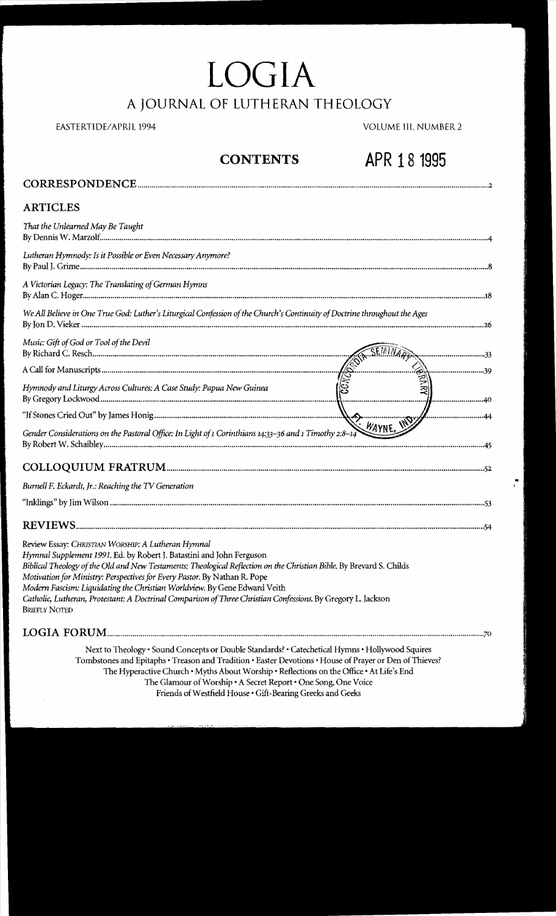# **LOGIA** A **JOURNAL OF LUTHERAN THEOLOGY**

### EASTERTIDE/APRIL 1994 VOLUME III, NUMBER 2

# **CONTENTS APR 18 1995**

| <b>ARTICLES</b>                                                                                                                                                                                                                                                                                                                                                                                                                                                                                                                                      |
|------------------------------------------------------------------------------------------------------------------------------------------------------------------------------------------------------------------------------------------------------------------------------------------------------------------------------------------------------------------------------------------------------------------------------------------------------------------------------------------------------------------------------------------------------|
| That the Unlearned May Be Taught                                                                                                                                                                                                                                                                                                                                                                                                                                                                                                                     |
| Lutheran Hymnody: Is it Possible or Even Necessary Anymore?                                                                                                                                                                                                                                                                                                                                                                                                                                                                                          |
| A Victorian Legacy: The Translating of German Hymns                                                                                                                                                                                                                                                                                                                                                                                                                                                                                                  |
| We All Believe in One True God: Luther's Liturgical Confession of the Church's Continuity of Doctrine throughout the Ages                                                                                                                                                                                                                                                                                                                                                                                                                            |
| Music: Gift of God or Tool of the Devil                                                                                                                                                                                                                                                                                                                                                                                                                                                                                                              |
|                                                                                                                                                                                                                                                                                                                                                                                                                                                                                                                                                      |
|                                                                                                                                                                                                                                                                                                                                                                                                                                                                                                                                                      |
|                                                                                                                                                                                                                                                                                                                                                                                                                                                                                                                                                      |
| Gender Considerations on the Pastoral Office: In Light of 1 Corinthians 14:33-36 and 1 Timothy 2:8-14                                                                                                                                                                                                                                                                                                                                                                                                                                                |
|                                                                                                                                                                                                                                                                                                                                                                                                                                                                                                                                                      |
| Burnell F. Eckardt, Jr.: Reaching the TV Generation                                                                                                                                                                                                                                                                                                                                                                                                                                                                                                  |
|                                                                                                                                                                                                                                                                                                                                                                                                                                                                                                                                                      |
|                                                                                                                                                                                                                                                                                                                                                                                                                                                                                                                                                      |
| Review Essay: CHRISTIAN WORSHIP: A Lutheran Hymnal<br>Hymnal Supplement 1991. Ed. by Robert J. Batastini and John Ferguson<br>Biblical Theology of the Old and New Testaments: Theological Reflection on the Christian Bible. By Brevard S. Childs<br>Motivation for Ministry: Perspectives for Every Pastor. By Nathan R. Pope<br>Modern Fascism: Liquidating the Christian Worldview. By Gene Edward Veith<br>Catholic, Lutheran, Protestant: A Doctrinal Comparison of Three Christian Confessions. By Gregory L. Jackson<br><b>BRIEFLY NOTED</b> |
|                                                                                                                                                                                                                                                                                                                                                                                                                                                                                                                                                      |

Next to Theology' Sound Concepts or Double Standards? • CatecheticaI Hymns' Hollywood Squires Tombstones and Epitaphs • Treason and Tradition • Easter Devotions • House of Prayer or Den of Thieves? The Hyperactive Church· Myths About Worship' Reflections on the Office' At Life's End The Glamour of Worship • A Secret Report· One Song, One Voice Friends of Westfield House . Gift-Bearing Greeks and Geeks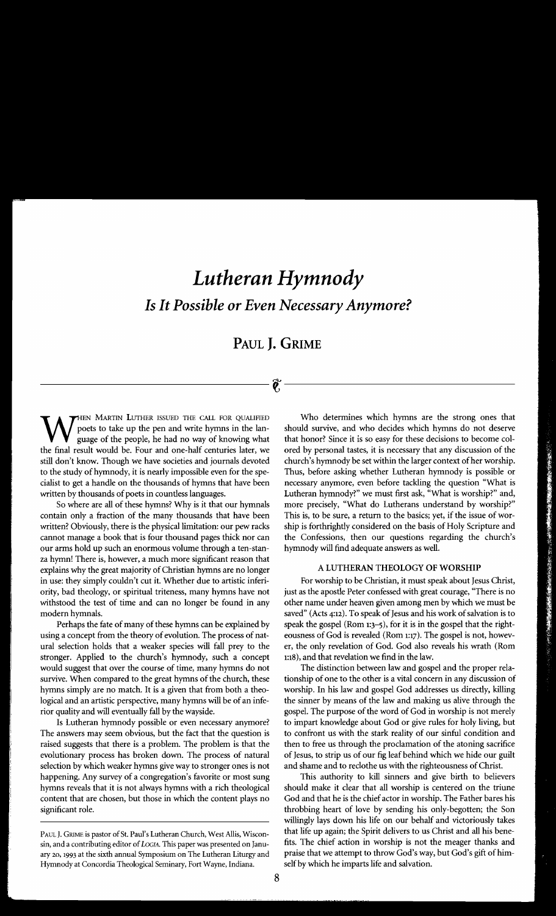# *Lutheran Hymnody Is* **It** *Possible or Even Necessary Anymore?*

# **PAUL J. GRIME**

----------------t---------------

our arms hold up such an enormous volume through a ten-stan-<br>
hymnody will find adequate answers as well. za hymn! There is, however, a much more significant reason that explains why the great majority of Christian hymns are no longer A LUTHERAN THEOLOGY OF WORSHIP

stronger. Applied to the church's hymnody, such a concept 1:18), and that revelation we find in the law.

selection by which weaker hymns give way to stronger ones is not and shame and to reclothe us with the righteousness of Christ. content that are chosen, but those in which the content plays no

WHEN MARTIN LUTHER ISSUED THE CALL FOR QUALIFIED Who determines which hymns are the strong ones that guage of the people, he had no way of knowing what that honor? Since it is so easy for these decisions to become col-<br>the poets to take up the pen and write hymns in the lan- should survive, and who decides which hymns do not deserve guage of the people, he had no way of knowing what that honor? Since it is so easy for these decisions to become colthe final result would be. Four and one-half centuries later, we ored by personal tastes, it is necessary that any discussion of the still don't know. Though we have societies and journals devoted church's hymnody be set within the larger context of her worship. to the study of hymnody, it is nearly impossible even for the spe-<br>Thus, before asking whether Lutheran hymnody is possible or cialist to get a handle on the thousands of hymns that have been necessary anymore, even before tackling the question "What is written by thousands of poets in countless languages. Lutheran hymnody?" we must first ask, "What is worship?" and, So where are all of these hymns? Why is it that our hymnals more precisely, "What do Lutherans understand by worship?" contain only a fraction of the many thousands that have been This is, to be sure, a return to the basics; yet, if the issue of worwritten? Obviously, there is the physical limitation: our pew racks ship is forthrightly considered on the basis of Holy Scripture and cannot manage a book that is four thousand pages thick nor can the Confessions, then our questions regarding the church's

in use: they simply couldn't cut it. Whether due to artistic inferi-<br>For worship to be Christian, it must speak about Jesus Christ, ority, bad theology, or spiritual triteness, many hymns have not just as the apostle Peter confessed with great courage, "There is no withstood the test of time and can no longer be found in any other name under heaven given among men by which we must be modern hymnals. saved" (Acts 4:12). To speak of Jesus and his work of salvation is to Perhaps the fate of many of these hymns can be explained by speak the gospel (Rom 1:3-5), for it is in the gospel that the rightusing a concept from the theory of evolution. The process of nat-<br>eousness of God is revealed (Rom 1:17). The gospel is not, howevural selection holds that a weaker species will fall prey to the er, the only revelation of God. God also reveals his wrath (Rom

would suggest that over the course of time, many hymns do not The distinction between law and gospel and the proper relasurvive. When compared to the great hymns of the church, these tionship of one to the other is a vital concern in any discussion of hymns simply are no match. It is a given that from both a theo-<br>worship. In his law and gospel God addresses us directly, killing logical and an artistic perspective, many hymns will be of an infe-<br>the sinner by means of the law and making us alive through the rior quality and will eventually fall by the wayside. gospel. The purpose of the word of God in worship is not merely Is Lutheran hymnody possible or even necessary anymore? to impart knowledge about God or give rules for holy living, but The answers may seem obvious, but the fact that the question is to confront us with the stark reality of our sinful condition and raised suggests that there is a problem. The problem is that the then to free us through the proclamation of the atoning sacrifice evolutionary process has broken down. The process of natural of Jesus, to strip us of our fig leaf behind which we hide our guilt

happening. Any survey of a congregation's favorite or most sung This authority to kill sinners and give birth to believers hymns reveals that it is not always hymns with a rich theological should make it clear that all worship is centered on the triune content that are chosen, but those in which the content plays no God and that he is the chie significant role. throbbing heart of love by sending his only-begotten; the Son willingly lays down his life on our behalf and victoriously takes sin, and a contributing editor of *LOGIA*. This paper was presented on Janu-<br>fits. The chief action in worship is not the meager thanks and

Paul J. Grume is pastor of St. Paul's Lutheran Church, West Allis, Wiscon-htat life up again; the Spirit delivers to us Christ and all his bene ary 20, 1993 at the sixth annual Symposium on The Lutheran Liturgy and praise that we attempt to throw God's way, but God's gift of him Hymnody at Concordia Theological Seminary, Fort Wayne, Indiana. self by which he imparts life and salvation.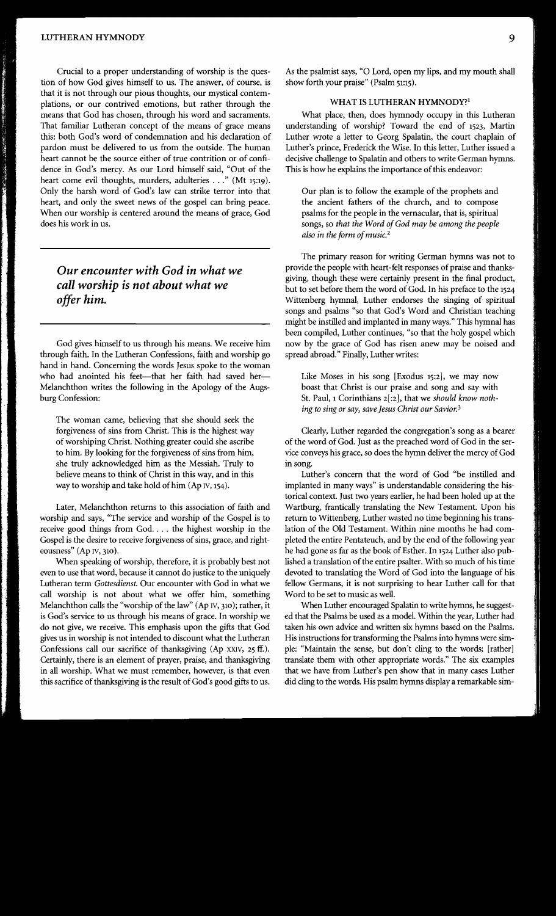Crucial to a proper understanding of worship is the question of how God gives himself to us. The answer, of course, is that it is not through our pious thoughts, our mystical contemplations, or our contrived emotions, but rather through the means that God has chosen, through his word and sacraments. That familiar Lutheran concept of the means of grace means this: both God's word of condemnation and his declaration of pardon must be delivered to us from the outside. The human heart cannot be the source either of true contrition or of confidence in God's mercy. As our Lord himself said, "Out of the heart come evil thoughts, murders, adulteries ..." (Mt 15:19). Only the harsh word of God's law can strike terror into that heart, and only the sweet news of the gospel can bring peace. When our worship is centered around the means of grace, God does his work in us.

# *Our encounter with God in what we call worship is not about what we offer him.*

God gives himself to us through his means. We receive him through faith. In the Lutheran Confessions, faith and worship go hand in hand. Concerning the words Jesus spoke to the woman who had anointed his feet-that her faith had saved her-Melanchthon writes the following in the Apology of the Augsburg Confession:

The woman came, believing that she should seek the forgiveness of sins from Christ. This is the highest way of worshiping Christ. Nothing greater could she ascribe to him. By looking for the forgiveness of sins from him, she truly acknowledged him as the Messiah. Truly to believe means to think of Christ in this way, and in this way to worship and take hold of him (Ap IV, 154).

Later, Melanchthon returns to this association of faith and worship and says, "The service and worship of the Gospel is to receive good things from God.... the highest worship in the Gospel is the desire to receive forgiveness of sins, grace, and righteousness" (Ap IV, 310).

When speaking of worship, therefore, it is probably best not even to use that word, because it cannot do justice to the uniquely Lutheran term *Gottesdienst.* Our encounter with God in what we call worship is not about what we offer him, something Melanchthon calls the "worship of the law" (Ap IV, 310); rather, it is God's service to us through his means of grace. In worship we do not give, we receive. This emphasis upon the gifts that God gives us in worship is not intended to discount what the Lutheran Confessions call our sacrifice of thanksgiving (Ap XXIV, 25 ff.). Certainly, there is an element of prayer, praise, and thanksgiving in all worship. What we must remember, however, is that even this sacrifice of thanksgiving is the result of God's good gifts to us.

As the psalmist says, "0 Lord, open my lips, and my mouth shall show forth your praise" (Psalm 51:15).

#### WHAT IS LUTHERAN HYMNODY?<sup>1</sup>

What place, then, does hymnody occupy in this Lutheran understanding of worship? Toward the end of 1523, Martin Luther wrote a letter to Georg Spalatin, the court chaplain of Luther's prince, Frederick the Wise. In this letter, Luther issued a decisive challenge to Spalatin and others to write German hymns. This is how he explains the importance of this endeavor:

Our plan is to follow the example of the prophets and the ancient fathers of the church, and to compose psalms for the people in the vernacular, that is, spiritual songs, so *that the Word of God may be among the people also in the form ofmusic.*<sup>2</sup>

The primary reason for writing German hymns was not to provide the people with heart-felt responses of praise and thanksgiving, though these were certainly present in the final product, but to set before them the word of God. In his preface to the 1524 Wittenberg hymnal, Luther endorses the singing of spiritual songs and psalms "so that God's Word and Christian teaching might be instilled and implanted in many ways." This hymnal has been compiled, Luther continues, "so that the holy gospel which now by the grace of God has risen anew may be noised and spread abroad." Finally, Luther writes:

Like Moses in his song [Exodus 15:2], we may now boast that Christ is our praise and song and say with St. Paul, 1 Corinthians 2[:2], that we *should know nothing to sing or say, save Jesus Christ our Savior.3* 

Clearly, Luther regarded the congregation's song as a bearer of the word of God. Just as the preached word of God in the service conveys his grace, so does the hymn deliver the mercy of God in song.

Luther's concern that the word of God "be instilled and implanted in many ways" is understandable considering the historical context. Just two years earlier, he had been holed up at the Wartburg, frantically translating the New Testament. Upon his return to Wittenberg, Luther wasted no time beginning his translation of the Old Testament. Within nine months he had completed the entire Pentateuch, and by the end of the following year he had gone as far as the book of Esther. In 1524 Luther also published a translation of the entire psalter. With so much of his time devoted to translating the Word of God into the language of his fellow Germans, it is not surprising to hear Luther call for that Word to be set to music as well.

When Luther encouraged Spalatin to write hymns, he suggested that the Psalms be used as a model. Within the year, Luther had taken his own advice and written six hymns based on the Psalms. His instructions for transforming the Psalms into hymns were simple: "Maintain the sense, but don't cling to the words; [rather] translate them with other appropriate words." The six examples that we have from Luther's pen show that in many cases Luther did cling to the words. His psalm hymns display a remarkable sim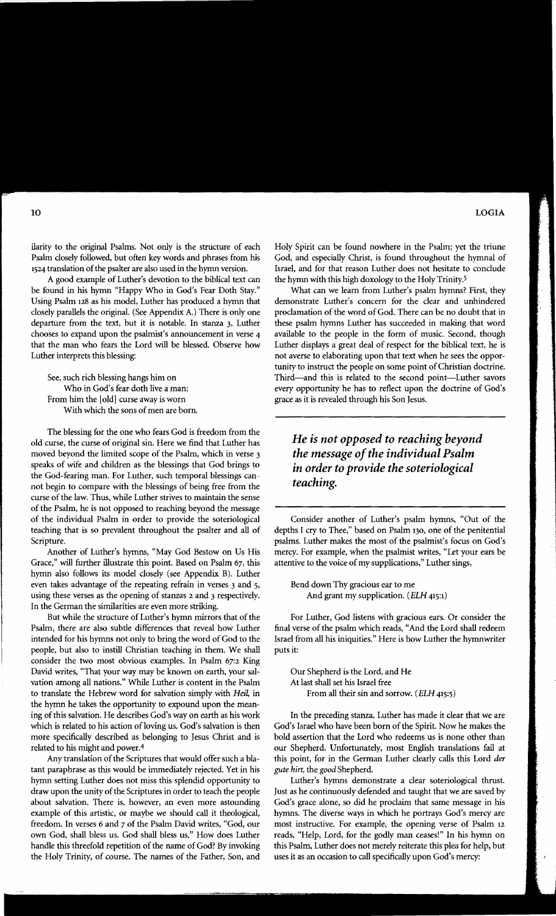ilarity to the original Psalms. Not only is the structure of each Psalm closely followed, but often key words and phrases from his 1524 translation of the psalter are also used in the hymn version.

A good example of Luther's devotion to the biblical text can be found in his hymn "Happy Who in God's Fear Doth Stay." Using Psalm 128 as his model, Luther has produced a hymn that closely parallels the original. (See Appendix A.) There is only one departure from the text, but it is notable. In stanza 3, Luther chooses to expand upon the psalmist's announcement in verse 4 that the man who fears the Lord will be blessed. Observe how Luther interprets this blessing:

See, such rich blessing hangs him on Who in God's fear doth live a man; From him the [old] curse away is worn With which the sons of men are born.

The blessing for the one who fears God is freedom from the old curse, the curse of original sin. Here we find that Luther has moved beyond the limited scope of the Psalm, which in verse 3 speaks of wife and children as the blessings that God brings to the God-fearing man. For Luther, such temporal blessings cannot begin to compare with the blessings of being free from the curse of the law. Thus, while Luther strives to maintain the sense of the Psalm, he is not opposed to reaching beyond the message of the individual Psalm in order to provide the soteriological teaching that is so prevalent throughout the psalter and all of Scripture.

Another of Luther's hymns, "May God Bestow on Us His Grace," will further illustrate this point. Based on Psalm 67, this hymn also follows its model closely (see Appendix B). Luther even takes advantage of the repeating refrain in verses 3 and 5, using these verses as the opening of stanzas 2 and 3 respectively. In the German the similarities are even more striking.

But while the structure of Luther's hymn mirrors that of the Psalm, there are also subtle differences that reveal how Luther intended for his hymns not only to bring the word of God to the people, but also to instill Christian teaching in them. We shall consider the two most obvious examples. In Psalm 67:2 King David writes, "That your way may be known on earth, your salvation among all nations." While Luther is content in the Psalm to translate the Hebrew word for salvation simply with Heil, in the hymn he takes the opportunity to expound upon the meaning of this salvation. He describes God's way on earth as his work which is related to his action of loving us. God's salvation is then more specifically described as belonging to Jesus Christ and is related to his might and power.4

Any translation of the Scriptures that would offer such a blatant paraphrase as this would be immediately rejected. Yet in his hymn setting Luther does not miss this splendid opportunity to draw upon the unity of the Scriptures in order to teach the people about salvation. There is, however, an even more astounding example of this artistic, or maybe we should call it theological, freedom. In verses 6 and 7 of the Psalm David writes, "God, our own God, shall bless us. God shall bless us." How does Luther handle this threefold repetition of the name of God? By invoking the Holy Trinity, of course. The names of the Father, Son, and Holy Spirit can be found nowhere in the Psalm; yet the triune God, and especially Christ, is found throughout the hymnal of Israel, and for that reason Luther does not hesitate to conclude the hymn with this high doxology to the Holy Trinity.5

What can we learn from Luther's psalm hymns? First, they demonstrate Luther's concern for the clear and unhindered proclamation of the word of God. There can be no doubt that in these psalm hymns Luther has succeeded in making that word available to the people in the form of music. Second, though Luther displays a great deal of respect for the biblical text, he is not averse to elaborating upon that text when he sees the opportunity to instruct the people on some point of Christian doctrine. Third-and this is related to the second point-Luther savors every opportunity he has to reflect upon the doctrine of God's grace as it is revealed through his Son Jesus.

# *He is not opposed to reaching beyond the message ofthe individual Psalm in order to provide the soteriological teaching.*

Consider another of Luther's psalm hymns, "Out of the depths I cry to Thee," based on Psalm 130, one of the penitential psalms. Luther makes the most of the psalmist's focus on God's mercy. For example, when the psalmist writes, "Let your ears be attentive to the voice of my supplications," Luther sings,

Bend down Thy gracious ear to me And grant my supplication. *(ELH* 415:1)

For Luther, God listens with gracious ears. Or consider the final verse of the psalm which reads, "And the Lord shall redeem Israel from all his iniquities." Here is how Luther the hymnwriter puts it:

Our Shepherd is the Lord, and He At last shall set his Israel free From all their sin and sorrow. *(ELH* 415:5)

In the preceding stanza, Luther has made it clear that we are God's Israel who have been born of the Spirit. Now he makes the bold assertion that the Lord who redeems us is none other than our Shepherd. Unfortunately, most English translations fail at this point, for in the German Luther clearly calls this Lord *der gute hirt,* the *good* Shepherd.

Luther's hymns demonstrate a clear soteriological thrust. Just as he continuously defended and taught that we are saved by God's grace alone, so did he proclaim that same message in his hymns. The diverse ways in which he portrays God's mercy are most instructive. For example, the opening verse of Psalm 12 reads, "Help, Lord, for the godly man ceases!" In his hymn on this Psalm, Luther does not merely reiterate this plea for help, but uses it as an occasion to call specifically upon God's mercy: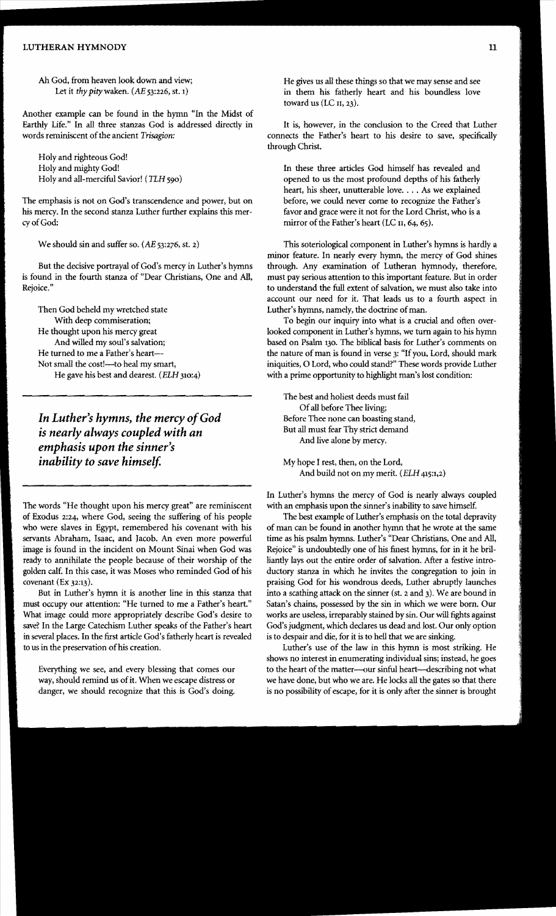#### LUTHERAN HYMNODY 11

Ah God, from heaven look down and view; Let it *thy pity*waken. *(AE* 53:226, st. 1)

Another example can be found in the hymn "In the Midst of Earthly Life." In all three stanzas God is addressed directly in words reminiscent of the ancient *Trisagion*:

Holy and righteous God! Holy and mighty God! Holy and all-merciful Savior! (TLH 590)

The emphasis is not on God's transcendence and power, but on his mercy. In the second stanza Luther further explains this mercyofGod:

We should sin and suffer so. *(AE* 53:276, st. 2)

But the decisive portrayal of God's mercy in Luther's hymns is found in the fourth stanza of "Dear Christians, One and All, Rejoice."

Then God beheld my wretched state With deep commiseration; He thought upon his mercy great And willed my soul's salvation; He turned to me a Father's heart Not small the cost!-- to heal my smart, He gave his best and dearest. (ELH 310:4)

*In Luther's hymns, the mercy ofGod is nearly always coupled with an emphasis upon the sinner's inability to save himself.* 

The words "He thought upon his mercy great" are reminiscent of Exodus 2:24, where God, seeing the suffering of his people who were slaves in Egypt, remembered his covenant with his servants Abraham, Isaac, and Jacob. An even more powerful image is found in the incident on Mount Sinai when God was ready to annihilate the people because of their worship of the golden calf. In this case, it was Moses who reminded God of his covenant (Ex 32:13).

But in Luther's hymn it is another line in this stanza that must occupy our attention: "He turned to me a Father's heart." What image could more appropriately describe God's desire to save? In the Large Catechism Luther speaks of the Father's heart in several places. In the first article God's fatherly heart is revealed to us in the preservation of his creation.

Everything we see, and every blessing that comes our way, should remind us of it. When we escape distress or danger, we should recognize that this is God's doing.

He gives us all these things so that we may sense and see in them his fatherly heart and his boundless love toward us (LC II, 23).

It is, however, in the conclusion to the Creed that Luther connects the Father's heart to his desire to save, specifically through Christ.

In these three articles God himself has revealed and opened to us the most profound depths of his fatherly heart, his sheer, unutterable love. . . . As we explained before, we could never come to recognize the Father's favor and grace were it not for the Lord Christ, who is a mirror of the Father's heart (LC  $II$ , 64, 65).

This soteriological component in Luther's hymns is hardly a minor feature. In nearly every hymn, the mercy of God shines through. Any examination of Lutheran hymnody, therefore, must pay serious attention to this important feature. But in order to understand the full extent of salvation, we must also take into account our need for it. That leads us to a fourth aspect in Luther's hymns, namely, the doctrine of man.

To begin our inquiry into what is a crucial and often overlooked component in Luther's hymns, we turn again to his hymn based on Psalm 130. The biblical basis for Luther's comments on the nature of man is found in verse 3: "If you, Lord, should mark iniquities, 0 Lord, who could stand?" These words provide Luther with a prime opportunity to highlight man's lost condition:

The best and holiest deeds must fail Ofall before Thee living; Before Thee none can boasting stand, But all must fear Thy strict demand And live alone by mercy.

My hope I rest, then, on the Lord, And build not on my merit. (ELR *415:1,2)* 

In Luther's hymns the mercy of God is nearly always coupled with an emphasis upon the sinner's inability to save himself.

The best example of Luther's emphasis on the total depravity of man can be found in another hymn that he wrote at the same time as his psalm hymns. Luther's "Dear Christians, One and All, Rejoice" is undoubtedly one of his finest hymns, for in it he brilliantly lays out the entire order of salvation. After a festive introductory stanza in which he invites the congregation to join in praising God for his wondrous deeds, Luther abruptly launches into a scathing attack on the sinner (st. 2 and 3). We are bound in Satan's chains, possessed by the sin in which we were born. Our works are useless, irreparably stained by sin. Our will fights against God's judgment, which declares us dead and lost. Our only option is to despair and die, for it is to hell that we are sinking.

Luther's use of the law in this hymn is most striking. He shows no interest in enumerating individual sins; instead, he goes to the heart of the matter---our sinful heart---describing not what we have done, but who we are. He locks all the gates so that there is no possibility of escape, for it is only after the sinner is brought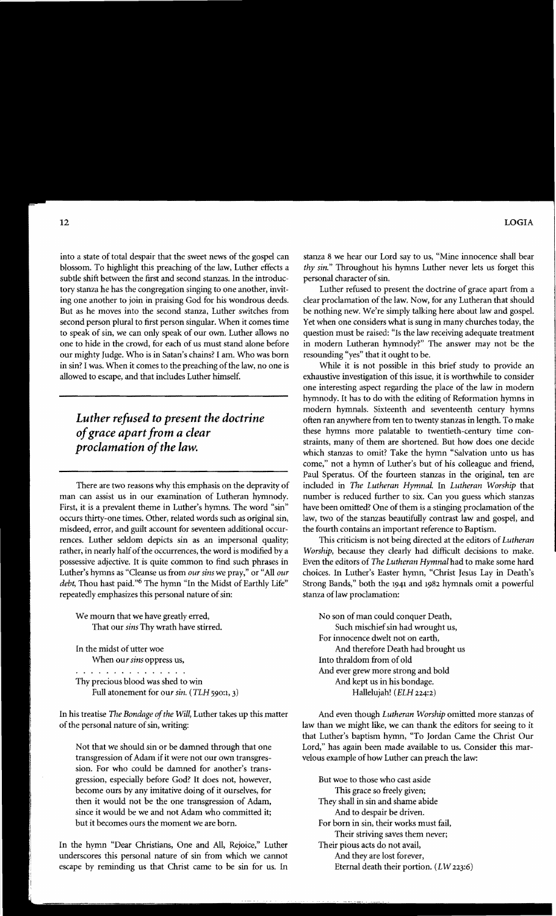into a state of total despair that the sweet news of the gospel can blossom. To highlight this preaching of the law, Luther effects a subtle shift between the first and second stanzas. In the introductory stanza he has the congregation singing to one another, inviting one another to join in praising God for his wondrous deeds. But as he moves into the second stanza, Luther switches from second person plural to first person singular. When it comes time to speak of sin, we can only speak of our own. Luther allows no one to hide in the crowd, for each of us must stand alone before our mighty Judge. Who is in Satan's chains? I am. Who was born in sin? I was. When it comes to the preaching of the law, no one is allowed to escape, and that includes Luther himself.

# *Luther refused to present the doctrine ofgrace apart from a clear proclamation of the law.*

There are two reasons why this emphasis on the depravity of man can assist us in our examination of Lutheran hymnody. First, it is a prevalent theme in Luther's hymns. The word "sin" occurs thirty-one times. Other, related words such as original sin, misdeed, error, and guilt account for seventeen additional occurrences. Luther seldom depicts sin as an impersonal quality; rather, in nearly half of the occurrences, the word is modified by a possessive adjective. It is quite common to find such phrases in Luther's hymns as "Cleanse us from *our sins* we pray," or "All *our debt,* Thou hast paid."6 The hymn "In the Midst of Earthly Life" repeatedly emphasizes this personal nature of sin:

- We mourn that we have greatly erred, That our *sins* Thy wrath have stirred.
- In the midst of utter woe When our *sins* oppress us,

Thy precious blood was shed to win Full atonement for our sin. (TLH 590:1, 3)

In his treatise *The Bondage of the Will*, Luther takes up this matter of the personal nature of sin, writing:

Not that we should sin or be damned through that one transgression of Adam if it were not our own transgression. For who could be damned for another's transgression, especially before God? It does not, however, become ours by any imitative doing of it ourselves, for then it would not be the one transgression of Adam, since it would be we and not Adam who committed it; but it becomes ours the moment we are born.

In the hymn "Dear Christians, One and All, Rejoice," Luther underscores this personal nature of sin from which we cannot escape by reminding us that Christ came to be sin for us. In stanza 8 we hear our Lord say to us, "Mine innocence shall bear *thy sin."* Throughout his hymns Luther never lets us forget this personal character of sin.

Luther refused to present the doctrine of grace apart from a clear proclamation of the law. Now, for any Lutheran that should be nothing new. We're simply talking here about law and gospel. Yet when one considers what is sung in many churches today, the question must be raised: "Is the law receiving adequate treatment in modern Lutheran hymnody?" The answer may not be the resounding "yes" that it ought to be.

While it is not possible in this brief study to provide an exhaustive investigation of this issue, it is worthwhile to consider one interesting aspect regarding the place of the law in modern hymnody. It has to do with the editing of Reformation hymns in modern hymnals. Sixteenth and seventeenth century hymns often ran anywhere from ten to twenty stanzas in length. To make these hymns more palatable to twentieth-century time constraints, many of them are shortened. But how does one decide which stanzas to omit? Take the hymn "Salvation unto us has come," not a hymn of Luther's but of his colleague and friend, Paul Speratus. Of the fourteen stanzas in the original, ten are included in *The Lutheran HymnaL* In *Lutheran Worship* that number is reduced further to six. Can you guess which stanzas have been omitted? One of them is a stinging proclamation of the law, two of the stanzas beautifully contrast law and gospel, and the fourth contains an important reference to Baptism.

This criticism is not being directed at the editors of *Lutheran Worship,* because they clearly had difficult decisions to make. Even the editors of *The Lutheran Hymnal* had to make some hard choices. In Luther's Easter hymn, "Christ Jesus Lay in Death's Strong Bands," both the 1941 and 1982 hymnals omit a powerful stanza of law proclamation:

No son of man could conquer Death, Such mischief sin had wrought us, For innocence dwelt not on earth, And therefore Death had brought us Into thraldom from of old And ever grew more strong and bold And kept us in his bondage. Hallelujah! *(ELH 224:2)* 

And even though *Lutheran Worship* omitted more stanzas of law than we might like, we can thank the editors for seeing to it that Luther's baptism hymn, "To Jordan Came the Christ Our Lord," has again been made available to us. Consider this marvelous example of how Luther can preach the law:

But woe to those who cast aside This grace so freely given; They shall in sin and shame abide And to despair be driven. For born in sin, their works must fail, Their striving saves them never; Their pious acts do not avail, And they are lost forever, Eternal death their portion. *(LW 223:6)*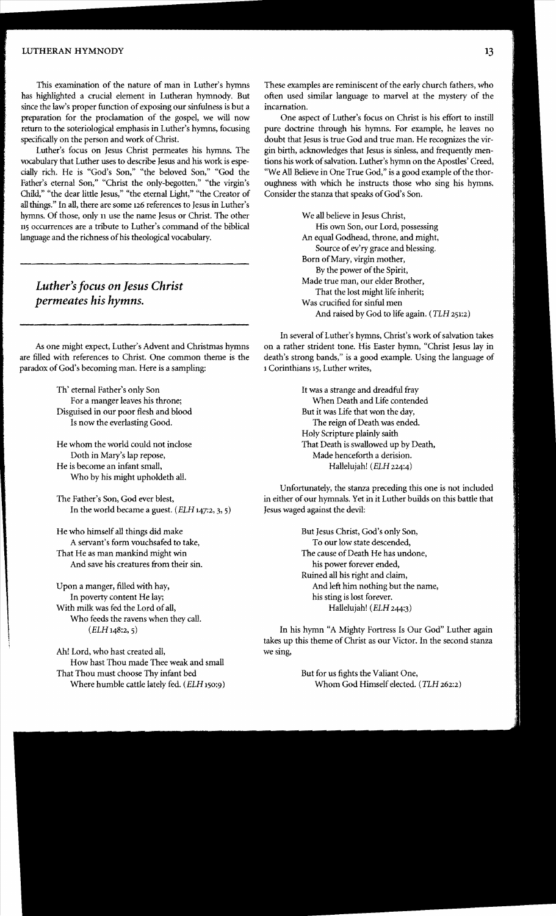#### LUTHERAN HYMNODY 13

This examination of the nature of man in Luther's hymns has highlighted a crucial element in Lutheran hymnody. But since the law's proper function of exposing our sinfulness is but a preparation for the proclamation of the gospel, we will now return to the soteriological emphasis in Luther's hymns, focusing specifically on the person and work of Christ.

Luther's focus on Jesus Christ permeates his hymns. The vocabulary that Luther uses to describe Jesus and his work is especially rich. He is "God's Son," "the beloved Son," "God the Father's eternal Son," "Christ the only-begotten," "the virgin's Child," "the dear little Jesus," "the eternal Light," "the Creator of all things." In all, there are some 126 references to Jesus in Luther's hymns. Of those, only 11 use the name Jesus or Christ. The other 115 occurrences are a tribute to Luther's command of the biblical language and the richness of his theological vocabulary.

## *Luther's focus on Jesus Christ permeates his hymns.*

As one might expect, Luther's Advent and Christmas hymns are filled with references to Christ. One common theme is the paradox of God's becoming man. Here is a sampling:

> Th' eternal Father's only Son For a manger leaves his throne; Disguised in our poor flesh and blood Is now the everlasting Good.

- He whom the world could not inclose Doth in Mary's lap repose, He is become an infant small, Who by his might upholdeth all.
- The Father's Son, God ever blest, In the world became a guest. *(ELH 147:2, 3, 5)*
- He who himself all things did make A servant's form vouchsafed to take, That He as man mankind might win And save his creatures from their sin.

Upon a manger, filled with hay, In poverty content He lay; With milk was fed the Lord of all, Who feeds the ravens when they call. *(ELH* 148:2,5)

Ah! Lord, who hast created all, How hast Thou made Thee weak and small That Thou must choose Thy infant bed Where humble cattle lately fed. *(ELH* 150:9) These examples are reminiscent of the early church fathers, who often used similar language to marvel at the mystery of the incarnation.

One aspect of Luther's focus on Christ is his effort to instill pure doctrine through his hymns. For example, he leaves no doubt that Jesus is true God and true man. He recognizes the virgin birth, acknowledges that Jesus is sinless, and frequently mentions his work of salvation. Luther's hymn on the Apostles' Creed, "We All Believe in One True God," is a good example of the thoroughness with which he instructs those who sing his hymns. Consider the stanza that speaks of God's Son.

> We all believe in Jesus Christ, His own Son, our Lord, possessing An equal Godhead, throne, and might, Source of ev'ry grace and blessing. Born of Mary, virgin mother, By the power of the Spirit, Made true man, our elder Brother, That the lost might life inherit; Was crucified for sinful men And raised by God to life again. (TLH 251:2)

In several of Luther's hymns, Christ's work of salvation takes on a rather strident tone. His Easter hymn, "Christ Jesus lay in death's strong bands," is a good example. Using the language of 1 Corinthians 15, Luther writes,

> It was a strange and dreadful fray When Death and Life contended But it was Life that won the day, The reign of Death was ended. Holy Scripture plainly saith That Death is swallowed up by Death, Made henceforth a derision. Hallelujah! *(ELH* 224:4)

Unfortunately, the stanza preceding this one is not included in either of our hymnals. Yet in it Luther builds on this battle that Jesus waged against the devil:

> But Jesus Christ, God's only Son, To our low state descended, The cause of Death He has undone, his power forever ended, Ruined all his right and claim, And left him nothing but the name, his sting is lost forever. Hallelujah! *(ELR* 244:3)

In his hymn "A Mighty Fortress Is Our God" Luther again takes up this theme of Christ as our Victor. In the second stanza we sing,

> But for us fights the Valiant One, Whom God Himself elected. (TLH 262:2)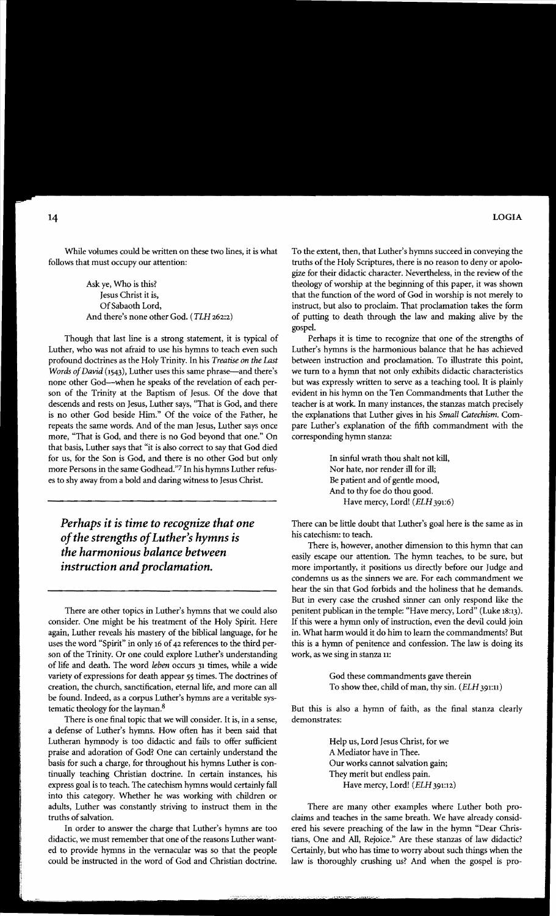While volumes could be written on these two lines, it is what follows that must occupy our attention:

> Ask ye, Who is this? Jesus Christ it is, Of Sabaoth Lord, And there's none other God. (TLH 262:2)

Though that last line is a strong statement, it is typical of Luther, who was not afraid to use his hymns to teach even such profound doctrines as the Holy Trinity. In his *Treatise on the Last Words of David* (1543), Luther uses this same phrase-and there's none other God-when he speaks of the revelation of each person of the Trinity at the Baptism of Jesus. Of the dove that descends and rests on Jesus, Luther says, "That is God, and there is no other God beside Him." Of the voice of the Father, he repeats the same words. And of the man Jesus, Luther says once more, "That is God, and there is no God beyond that one." On that basis, Luther says that "it is also correct to say that God died for us, for the Son is God, and there is no other God but only more Persons in the same Godhead.'? In his hymns Luther refuses to shy away from a bold and daring witness to Jesus Christ.

*Perhaps it is time to recognize that one ofthe strengths ofLuther's hymns is the harmonious balance between instruction and proclamation.* 

There are other topics in Luther's hymns that we could also consider. One might be his treatment of the Holy Spirit. Here again, Luther reveals his mastery of the biblical language, for he uses the word "Spirit" in only 16 of 42 references to the third person of the Trinity. Or one could explore Luther's understanding of life and death. The word *leben* occurs 31 times, while a wide variety of expressions for death appear 55 times. The doctrines of creation, the church, sanctification, eternal life, and more can all be found. Indeed, as a corpus Luther's hymns are a veritable systematic theology for the layman.<sup>8</sup>

There is one final topic that we will consider. It is, in a sense, a defense of Luther's hymns. How often has it been said that Lutheran hymnody is too didactic and fails to offer sufficient praise and adoration of God? One can certainly understand the basis for such a charge, for throughout his hymns Luther is continually teaching Christian doctrine. In certain instances, his express goal is to teach. The catechism hymns would certainly fall into this category. Whether he was working with children or adults, Luther was constantly striving to instruct them in the truths of salvation.

In order to answer the charge that Luther's hymns are too didactic, we must remember that one of the reasons Luther wanted to provide hymns in the vernacular was so that the people could be instructed in the word of God and Christian doctrine. To the extent, then, that Luther's hymns succeed in conveying the truths of the Holy Scriptures, there is no reason to deny or apologize for their didactic character. Nevertheless, in the review of the theology of worship at the beginning of this paper, it was shown that the function of the word of God in worship is not merely to instruct, but also to proclaim. That proclamation takes the form of putting to death through the law and making alive by the gospel.

Perhaps it is time to recognize that one of the strengths of Luther's hymns is the harmonious balance that he has achieved between instruction and proclamation. To illustrate this point, we turn to a hymn that not only exhibits didactic characteristics but was expressly written to serve as a teaching tool. It is plainly evident in his hymn on the Ten Commandments that Luther the teacher is at work. In many instances, the stanzas match precisely the explanations that Luther gives in his *Small Catechism.* Compare Luther's explanation of the fifth commandment with the corresponding hymn stanza:

> In sinful wrath thou shalt not kill, Nor hate, nor render ill for ill; Be patient and of gentle mood, And to thy foe do thou good. Have mercy, Lord! (ELH 391:6)

There can be little doubt that Luther's goal here is the same as in his catechism: to teach.

There is, however, another dimension to this hymn that can easily escape our attention. The hymn teaches, to be sure, but more importantly, it positions us directly before our Judge and condemns us as the sinners we are. For each commandment we hear the sin that God forbids and the holiness that he demands. But in every case the crushed sinner can only respond like the penitent publican in the temple: "Have mercy, Lord" (Luke 18:13). If this were a hymn only of instruction, even the devil could join in. What harm would it do him to learn the commandments? But this is a hymn of penitence and confession. The law is doing its work, as we sing in stanza 11:

> God these commandments gave therein To show thee, child of man, thy sin. *(ELH* 391:11)

But this is also a hymn of faith, as the final stanza dearly demonstrates:

> Help us, Lord Jesus Christ, for we A Mediator have in Thee. Our works cannot salvation gain; They merit but endless pain. Have mercy, Lord! *(ELH* 391:12)

There are many other examples where Luther both proclaims and teaches in the same breath. We have already considered his severe preaching of the law in the hymn "Dear Christians, One and All, Rejoice." Are these stanzas of law didactic? Certainly, but who has time to worry about such things when the law is thoroughly crushing us? And when the gospel is pro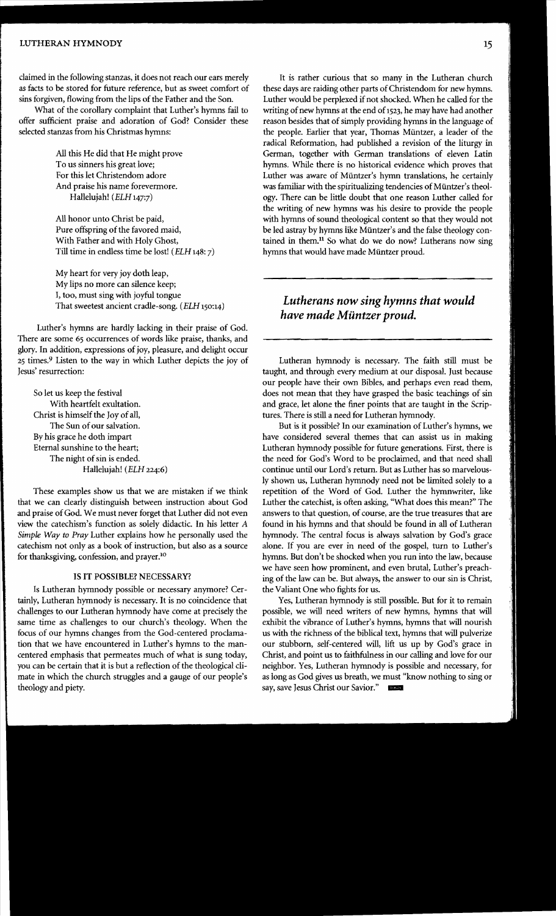#### LUTHERAN HYMNODY 15

claimed in the following stanzas, it does not reach our ears merely *as* facts to be stored for future reference, but as sweet comfort of sins forgiven, flowing from the lips of the Father and the Son.

What of the corollary complaint that Luther's hymns fail to offer sufficient praise and adoration of God? Consider these selected stanzas from his Christmas hymns:

> All this He did that He might prove To us sinners his great love; For this let Christendom adore And praise his name forevermore. Hallelujah! *(ELH* 147:7)

All honor unto Christ be paid, Pure offspring of the favored maid, With Father and with Holy Ghost, Till time in endless time be lost! *(ELH* 148: 7)

My heart for very joy doth leap, My lips no more can silence keep; I, too, must sing with joyful tongue That sweetest ancient cradle-song. *(ELH* 150:14)

Luther's hymns are hardly lacking in their praise of God. There are some 65 occurrences of words like praise, thanks, and glory. In addition, expressions of joy, pleasure, and delight occur 25 times.9 Listen to the way in which Luther depicts the joy of Jesus' resurrection:

So let us keep the festival With heartfelt exultation. Christ is himself the Joy of all, The Sun of our salvation. By his grace he doth impart Eternal sunshine to the heart; The night of sin is ended. Hallelujah! *(ELH 224:6)* 

These examples show us that we are mistaken if we think that we can clearly distinguish between instruction about God and praise of God. We must never forget that Luther did not even view the catechism's function as solely didactic. In his letter A *Simple Way to Pray* Luther explains how he personally used the catechism not only as a book of instruction, but also as a source for thanksgiving, confession, and prayer.<sup>10</sup>

### IS IT POSSIBLE? NECESSARY?

Is Lutheran hymnody possible or necessary anymore? Certainly, Lutheran hymnody is necessary. It is no coincidence that challenges to our Lutheran hymnody have come at precisely the same time as challenges to our church's theology. When the focus of our hymns changes from the God-centered proclamation that we have encountered in Luther's hymns to the mancentered emphasis that permeates much of what is sung today, you can be certain that it is but a reflection of the theological climate in which the church struggles and a gauge of our people's theology and piety.

It is rather curious that so many in the Lutheran church these days are raiding other parts of Christendom for new hymns. Luther would be perplexed if not shocked. When he called for the writing of new hymns at the end of 1523, he may have had another reason besides that of simply providing hymns in the language of the people. Earlier that year, Thomas Miintzer, a leader of the radical Reformation, had published a revision of the liturgy in German, together with German translations of eleven Latin hymns. While there is no historical evidence which proves that Luther was aware of Miintzer's hymn translations, he certainly was familiar with the spiritualizing tendencies of Müntzer's theology. There can be little doubt that one reason Luther called for the writing of new hymns was his desire to provide the people with hymns of sound theological content so that they would not be led astray by hymns like Miintzer's and the false theology contained in them. $<sup>11</sup>$  So what do we do now? Lutherans now sing</sup> hymns that would have made Miintzer proud.

## *Lutherans now sing hymns that would have made Muntzer proud.*

Lutheran hymnody is necessary. The faith still must be taught, and through every medium at our disposal. Just because our people have their own Bibles, and perhaps even read them, does not mean that they have grasped the basic teachings of sin and grace, let alone the finer points that are taught in the Scriptures. There is still a need for Lutheran hymnody.

But is it possible? In our examination of Luther's hymns, we have considered several themes that can assist us in making Lutheran hymnody possible for future generations. First, there is the need for God's Word to be proclaimed, and that need shall continue until our Lord's return. But as Luther has so marvelously shown *us,* Lutheran hymnody need not be limited solely to a repetition of the Word of God. Luther the hymnwriter, like Luther the catechist, is often asking, "What does this mean?" The answers to that question, of course, are the true treasures that are found in his hymns and that should be found in all of Lutheran hymnody. The central focus is always salvation by God's grace alone. If you are ever in need of the gospel, turn to Luther's hymns. But don't be shocked when you run into the law, because we have seen how prominent, and even brutal, Luther's preaching of the law can be. But always, the answer to our sin is Christ, the Valiant One who fights for us.

Yes, Lutheran hymnody is still possible. But for it to remain possible, we will need writers of new hymns, hymns that will exhibit the vibrance of Luther's hymns, hymns that will nourish us with the richness of the biblical text, hymns that will pulverize our stubborn, self-centered will, lift us up by God's grace in Christ, and point us to faithfulness in our calling and love for our neighbor. Yes, Lutheran hymnody is possible and necessary, for as long as God gives us breath, we must "know nothing to sing or say, save Jesus Christ our Savior."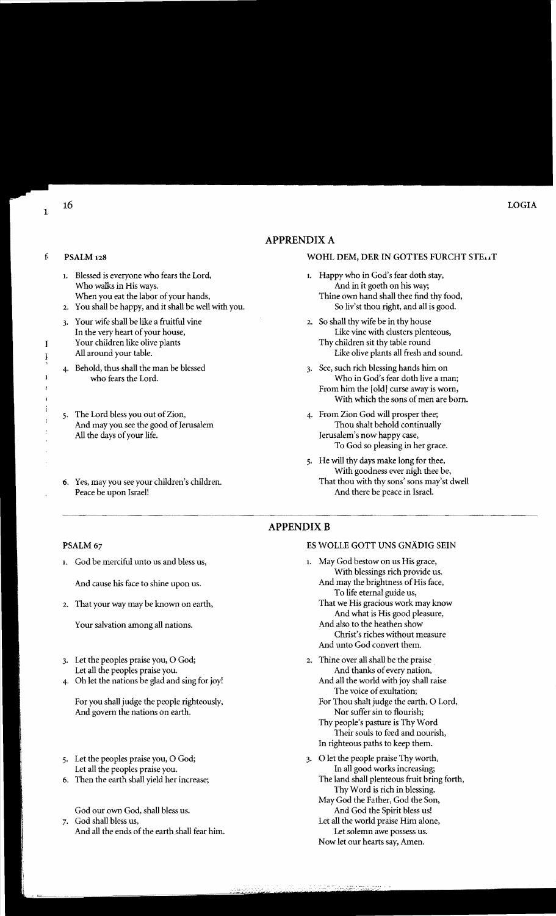### APPRENDIXA

### f PSALM 128 WOHL DEM, DER IN GOTTES FURCHT STE.

- Thine own hand shall thee find thy food,<br>So liv'st thou right, and all is good.
- Like olive plants all fresh and sound.
- 4. Behold, thus shall the man be blessed 3. See, such rich blessing hands him on who fears the Lord. Who in God's fear doth live a man; From him the [old] curse away is worn, With which the sons of men are born.
	- Jerusalem's now happy case, To God so pleasing in her grace.
	- 5. He will thy days make long for thee, With goodness ever nigh thee be,<br>That thou with thy sons' sons may's dwell

#### **APPENDIX B**

### ES WOLLE GOTT UNS GNADIG SEIN

- 1. May God bestow on us His grace, With blessings rich provide us. And may the brightness of His face, To life eternal guide us, That we His gracious work may know
	- And what is His good pleasure, And also to the heathen show Christ's riches without measure And unto God convert them.
- 2. Thine over all shall be the praise And thanks of every nation, And all the world with joy shall raise
	- The voice of exultation; For Thou shalt judge the earth, O Lord, Nor suffer sin to flourish;
	- Thy people's pasture is Thy Word Their souls to feed and nourish, In righteous paths to keep them.
- 3. 0 let the people praise Thy worth, In all good works increasing; The land shall plenteous fruit bring forth, Thy Word is rich in blessing.
	- May God the Father, God the Son, And God the Spirit bless us!
	- Let all the world praise Him alone, Let solemn awe possess us. Now let our hearts say, Amen.

- 1. Blessed is everyone who fears the Lord, 1. Happy who in God's fear doth stay, Who walks in His ways.<br>
When you eat the labor of your hands,<br>
Thine own hand shall thee find
- 2. You shall be happy, and it shall be well with you.
- 3. Your wife shall be like a fruitful vine 2. So shall thy wife be in thy house 1 a the very heart of your house, In the very heart of your house, Your children like olive plants Thy children sit thy table round<br>All around your table. This is the plants all fresh and the comparison of the comparison of the comparison of the comparison of the comparison of the compari
- 
- 5. The Lord bless you out of Zion,  $\qquad \qquad$  4. From Zion God will prosper thee; And may you see the good of Jerusalem Thou shalt behold continually All the days of your life. Thou shalt behold continually all the days of your life.
- 6. Yes, may you see your children's children. Peace be upon Israel! And there be peace in Israel.
- PSALM 67
- 1. God be merciful unto us and bless us,

And cause his face to shine upon us.

2. That your way may be known on earth,

Your salvation among all nations.

- 3. Let the peoples praise you, O God; Let all the peoples praise you.
- 4. Oh let the nations be glad and sing for joy!

For you shall judge the people righteously, And govern the nations on earth.

- 5. Let the peoples praise you, O God; Let all the peoples praise you.
- 6. Then the earth shall yield her increase;

God our own God, shall bless us. 7. God shall bless us,

And all the ends of the earth shall fear him.

1

I I

> $\mathbf{I}$ š

 $\mathbf{I}$ j